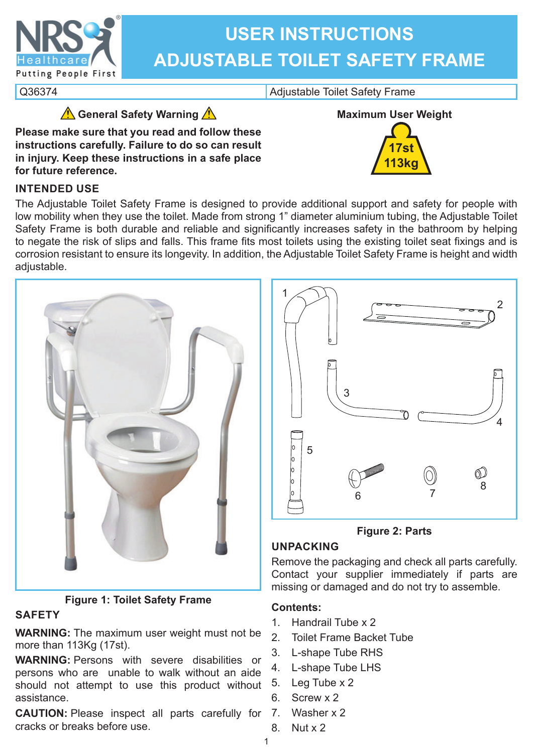

# **USER INSTRUCTIONS ADJUSTABLE TOILET SAFETY FRAME**

Q36374 Q36374

**General Safety Warning** 

**Please make sure that you read and follow these instructions carefully. Failure to do so can result in injury. Keep these instructions in a safe place for future reference.**



# **INTENDED USE**

The Adjustable Toilet Safety Frame is designed to provide additional support and safety for people with low mobility when they use the toilet. Made from strong 1" diameter aluminium tubing, the Adjustable Toilet Safety Frame is both durable and reliable and significantly increases safety in the bathroom by helping to negate the risk of slips and falls. This frame fits most toilets using the existing toilet seat fixings and is corrosion resistant to ensure its longevity. In addition, the Adjustable Toilet Safety Frame is height and width adiustable.



# **Figure 1: Toilet Safety Frame**

# **SAFETY**

**WARNING:** The maximum user weight must not be more than 113Kg (17st).

**WARNING:** Persons with severe disabilities or persons who are unable to walk without an aide should not attempt to use this product without assistance.

**CAUTION:** Please inspect all parts carefully for 7. cracks or breaks before use.



**Figure 2: Parts**

# **UNPACKING**

Remove the packaging and check all parts carefully. Contact your supplier immediately if parts are missing or damaged and do not try to assemble.

# **Contents:**

- 1. Handrail Tube x 2
- 2. Toilet Frame Backet Tube
- 3. L-shape Tube RHS
- 4. L-shape Tube LHS
- 5. Leg Tube x 2
- 6. Screw x 2
	- Washer x 2
- 8. Nut x 2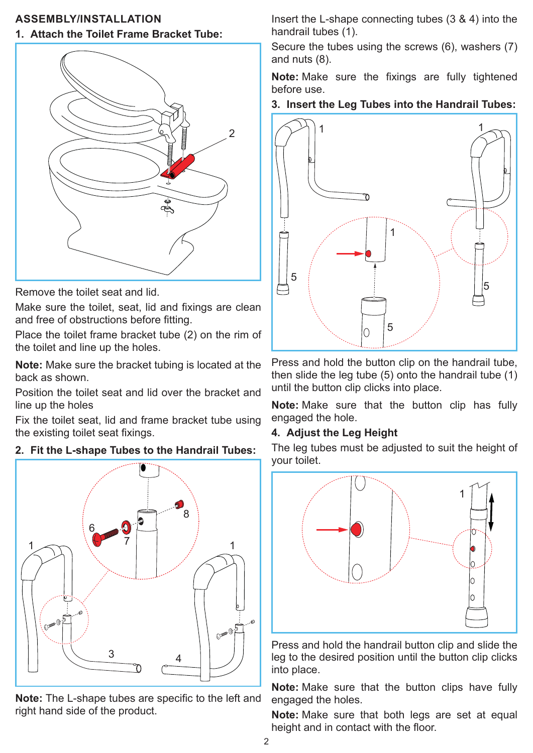# **ASSEMBLY/INSTALLATION**

#### **1. Attach the Toilet Frame Bracket Tube:**



Remove the toilet seat and lid.

Make sure the toilet, seat, lid and fixings are clean and free of obstructions before fitting.

Place the toilet frame bracket tube (2) on the rim of the toilet and line up the holes.

**Note:** Make sure the bracket tubing is located at the back as shown.

Position the toilet seat and lid over the bracket and line up the holes

Fix the toilet seat, lid and frame bracket tube using the existing toilet seat fixings.

## **2. Fit the L-shape Tubes to the Handrail Tubes:**



**Note:** The L-shape tubes are specific to the left and right hand side of the product.

Insert the L-shape connecting tubes (3 & 4) into the handrail tubes (1).

Secure the tubes using the screws (6), washers (7) and nuts (8).

**Note:** Make sure the fixings are fully tightened before use.

#### **3. Insert the Leg Tubes into the Handrail Tubes:**



Press and hold the button clip on the handrail tube, then slide the leg tube (5) onto the handrail tube (1) until the button clip clicks into place.

**Note:** Make sure that the button clip has fully engaged the hole.

#### **4. Adjust the Leg Height**

The leg tubes must be adjusted to suit the height of your toilet.



Press and hold the handrail button clip and slide the leg to the desired position until the button clip clicks into place.

**Note:** Make sure that the button clips have fully engaged the holes.

**Note:** Make sure that both legs are set at equal height and in contact with the floor.